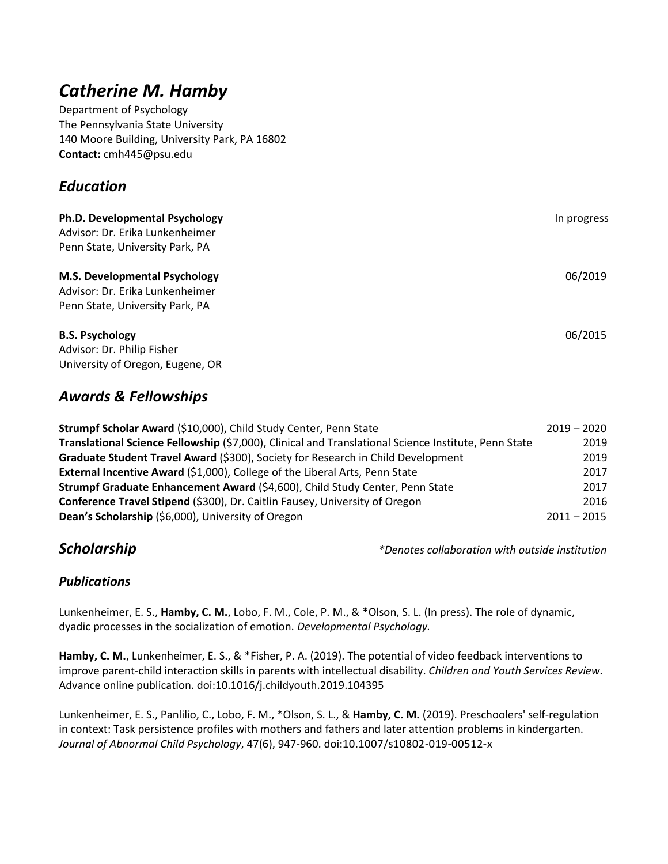# *Catherine M. Hamby*

Department of Psychology The Pennsylvania State University 140 Moore Building, University Park, PA 16802 **Contact:** cmh445@psu.edu

## *Education*

| Ph.D. Developmental Psychology       | In progress |
|--------------------------------------|-------------|
| Advisor: Dr. Erika Lunkenheimer      |             |
| Penn State, University Park, PA      |             |
| <b>M.S. Developmental Psychology</b> | 06/2019     |
| Advisor: Dr. Erika Lunkenheimer      |             |
| Penn State, University Park, PA      |             |
| <b>B.S. Psychology</b>               | 06/2015     |
| Advisor: Dr. Philip Fisher           |             |
| University of Oregon, Eugene, OR     |             |

## *Awards & Fellowships*

| Strumpf Scholar Award (\$10,000), Child Study Center, Penn State                                     | $2019 - 2020$ |      |
|------------------------------------------------------------------------------------------------------|---------------|------|
| Translational Science Fellowship (\$7,000), Clinical and Translational Science Institute, Penn State |               | 2019 |
| Graduate Student Travel Award (\$300), Society for Research in Child Development                     |               | 2019 |
| External Incentive Award (\$1,000), College of the Liberal Arts, Penn State                          |               | 2017 |
| Strumpf Graduate Enhancement Award (\$4,600), Child Study Center, Penn State                         |               | 2017 |
| Conference Travel Stipend (\$300), Dr. Caitlin Fausey, University of Oregon                          |               | 2016 |
| Dean's Scholarship (\$6,000), University of Oregon                                                   | $2011 - 2015$ |      |

*Scholarship**\*Denotes collaboration with outside institution* 

## *Publications*

Lunkenheimer, E. S., **Hamby, C. M.**, Lobo, F. M., Cole, P. M., & \*Olson, S. L. (In press). The role of dynamic, dyadic processes in the socialization of emotion. *Developmental Psychology.* 

**Hamby, C. M.**, Lunkenheimer, E. S., & \*Fisher, P. A. (2019). The potential of video feedback interventions to improve parent-child interaction skills in parents with intellectual disability. *Children and Youth Services Review.*  Advance online publication. doi:10.1016/j.childyouth.2019.104395

Lunkenheimer, E. S., Panlilio, C., Lobo, F. M., \*Olson, S. L., & **Hamby, C. M.** (2019). Preschoolers' self-regulation in context: Task persistence profiles with mothers and fathers and later attention problems in kindergarten. *Journal of Abnormal Child Psychology*, 47(6), 947-960. doi:10.1007/s10802-019-00512-x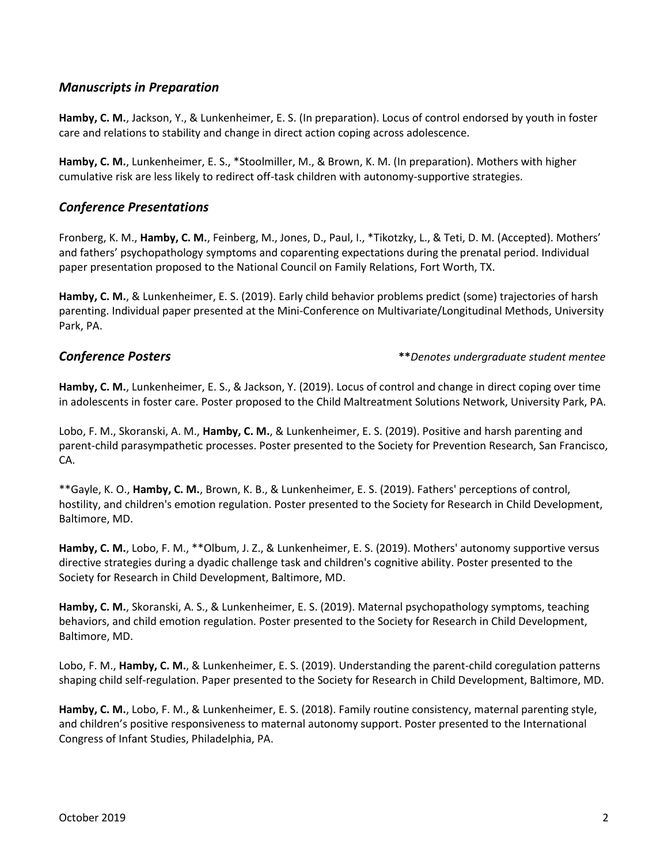#### *Manuscripts in Preparation*

**Hamby, C. M.**, Jackson, Y., & Lunkenheimer, E. S. (In preparation). Locus of control endorsed by youth in foster care and relations to stability and change in direct action coping across adolescence.

**Hamby, C. M.**, Lunkenheimer, E. S., \*Stoolmiller, M., & Brown, K. M. (In preparation). Mothers with higher cumulative risk are less likely to redirect off-task children with autonomy-supportive strategies.

#### *Conference Presentations*

Fronberg, K. M., **Hamby, C. M.**, Feinberg, M., Jones, D., Paul, I., \*Tikotzky, L., & Teti, D. M. (Accepted). Mothers' and fathers' psychopathology symptoms and coparenting expectations during the prenatal period. Individual paper presentation proposed to the National Council on Family Relations, Fort Worth, TX.

**Hamby, C. M.**, & Lunkenheimer, E. S. (2019). Early child behavior problems predict (some) trajectories of harsh parenting. Individual paper presented at the Mini-Conference on Multivariate/Longitudinal Methods, University Park, PA.

#### *Conference Posters* **\*\****Denotes undergraduate student mentee*

**Hamby, C. M.**, Lunkenheimer, E. S., & Jackson, Y. (2019). Locus of control and change in direct coping over time in adolescents in foster care. Poster proposed to the Child Maltreatment Solutions Network, University Park, PA.

Lobo, F. M., Skoranski, A. M., **Hamby, C. M.**, & Lunkenheimer, E. S. (2019). Positive and harsh parenting and parent-child parasympathetic processes. Poster presented to the Society for Prevention Research, San Francisco, CA.

\*\*Gayle, K. O., **Hamby, C. M.**, Brown, K. B., & Lunkenheimer, E. S. (2019). Fathers' perceptions of control, hostility, and children's emotion regulation. Poster presented to the Society for Research in Child Development, Baltimore, MD.

**Hamby, C. M.**, Lobo, F. M., \*\*Olbum, J. Z., & Lunkenheimer, E. S. (2019). Mothers' autonomy supportive versus directive strategies during a dyadic challenge task and children's cognitive ability. Poster presented to the Society for Research in Child Development, Baltimore, MD.

**Hamby, C. M.**, Skoranski, A. S., & Lunkenheimer, E. S. (2019). Maternal psychopathology symptoms, teaching behaviors, and child emotion regulation. Poster presented to the Society for Research in Child Development, Baltimore, MD.

Lobo, F. M., **Hamby, C. M.**, & Lunkenheimer, E. S. (2019). Understanding the parent-child coregulation patterns shaping child self-regulation. Paper presented to the Society for Research in Child Development, Baltimore, MD.

**Hamby, C. M.**, Lobo, F. M., & Lunkenheimer, E. S. (2018). Family routine consistency, maternal parenting style, and children's positive responsiveness to maternal autonomy support. Poster presented to the International Congress of Infant Studies, Philadelphia, PA.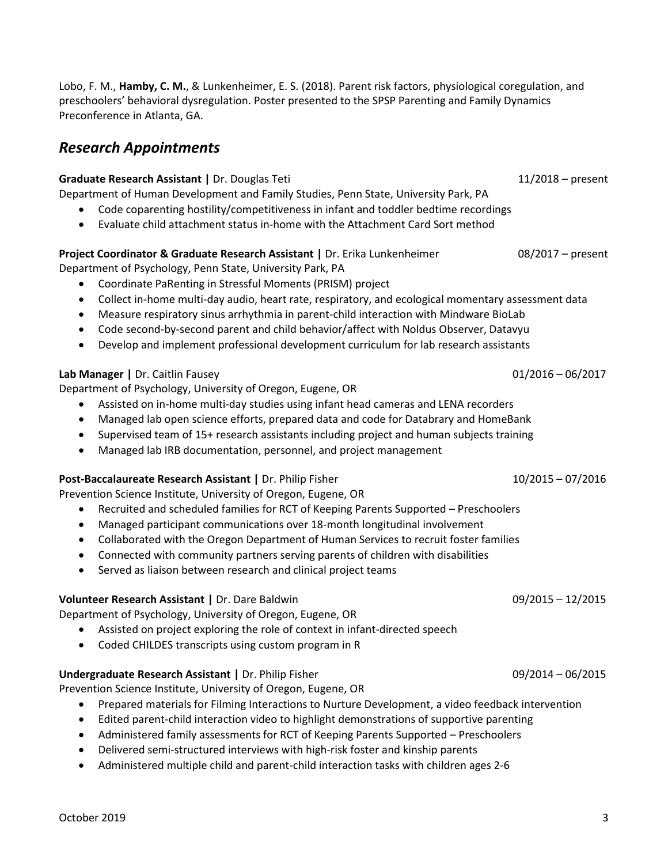Lobo, F. M., **Hamby, C. M.**, & Lunkenheimer, E. S. (2018). Parent risk factors, physiological coregulation, and preschoolers' behavioral dysregulation. Poster presented to the SPSP Parenting and Family Dynamics Preconference in Atlanta, GA.

## *Research Appointments*

#### **Graduate Research Assistant |** Dr. Douglas Teti11/2018 – present

Department of Human Development and Family Studies, Penn State, University Park, PA

- Code coparenting hostility/competitiveness in infant and toddler bedtime recordings
- Evaluate child attachment status in-home with the Attachment Card Sort method

#### **Project Coordinator & Graduate Research Assistant |** Dr. Erika Lunkenheimer 08/2017 – present

Department of Psychology, Penn State, University Park, PA

- Coordinate PaRenting in Stressful Moments (PRISM) project
- Collect in-home multi-day audio, heart rate, respiratory, and ecological momentary assessment data
- Measure respiratory sinus arrhythmia in parent-child interaction with Mindware BioLab
- Code second-by-second parent and child behavior/affect with Noldus Observer, Datavyu
- Develop and implement professional development curriculum for lab research assistants

#### **Lab Manager |** Dr. Caitlin Fausey01/2016 – 06/2017

Department of Psychology, University of Oregon, Eugene, OR

- Assisted on in-home multi-day studies using infant head cameras and LENA recorders
- Managed lab open science efforts, prepared data and code for Databrary and HomeBank
- Supervised team of 15+ research assistants including project and human subjects training
- Managed lab IRB documentation, personnel, and project management

#### **Post-Baccalaureate Research Assistant** | Dr. Philip Fisher 10/2015 - 10/2015 - 07/2016

Prevention Science Institute, University of Oregon, Eugene, OR

- Recruited and scheduled families for RCT of Keeping Parents Supported Preschoolers
- Managed participant communications over 18-month longitudinal involvement
- Collaborated with the Oregon Department of Human Services to recruit foster families
- Connected with community partners serving parents of children with disabilities
- Served as liaison between research and clinical project teams

### **Volunteer Research Assistant |** Dr. Dare Baldwin09/2015 – 12/2015

Department of Psychology, University of Oregon, Eugene, OR

- Assisted on project exploring the role of context in infant-directed speech
- Coded CHILDES transcripts using custom program in R

#### **Undergraduate Research Assistant |** Dr. Philip Fisher09/2014 – 06/2015

Prevention Science Institute, University of Oregon, Eugene, OR

- Prepared materials for Filming Interactions to Nurture Development, a video feedback intervention
- Edited parent-child interaction video to highlight demonstrations of supportive parenting
- Administered family assessments for RCT of Keeping Parents Supported Preschoolers
- Delivered semi-structured interviews with high-risk foster and kinship parents
- Administered multiple child and parent-child interaction tasks with children ages 2-6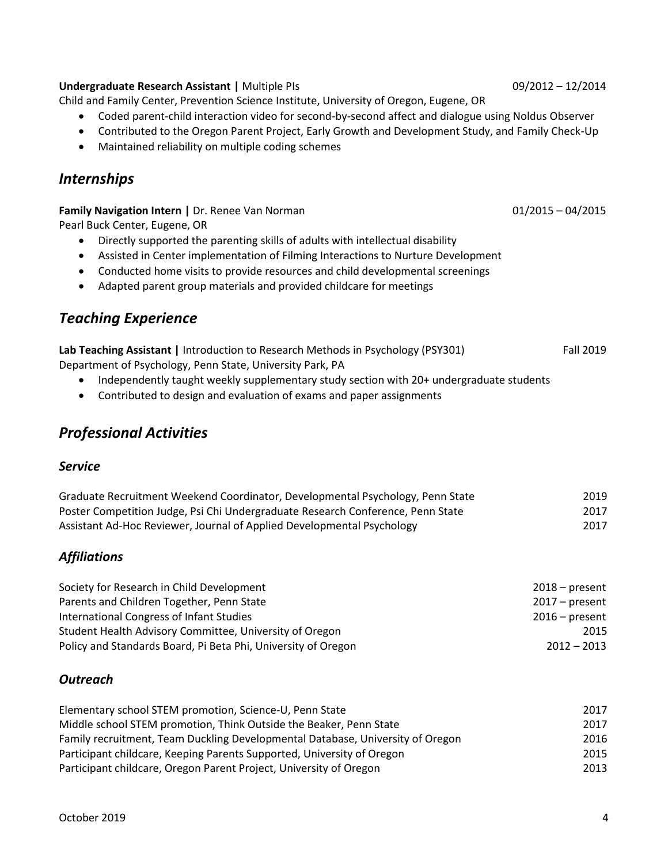#### **Undergraduate Research Assistant |** Multiple PIs09/2012 – 12/2014

Child and Family Center, Prevention Science Institute, University of Oregon, Eugene, OR

- Coded parent-child interaction video for second-by-second affect and dialogue using Noldus Observer
- Contributed to the Oregon Parent Project, Early Growth and Development Study, and Family Check-Up
- Maintained reliability on multiple coding schemes

## *Internships*

**Family Navigation Intern |** Dr. Renee Van Norman **1888 1888 12015 – 04/2015 12015 12015** 

Pearl Buck Center, Eugene, OR

- Directly supported the parenting skills of adults with intellectual disability
- Assisted in Center implementation of Filming Interactions to Nurture Development
- Conducted home visits to provide resources and child developmental screenings
- Adapted parent group materials and provided childcare for meetings

## *Teaching Experience*

| Lab Teaching Assistant   Introduction to Research Methods in Psychology (PSY301) | <b>Fall 2019</b> |
|----------------------------------------------------------------------------------|------------------|
| Department of Psychology, Penn State, University Park, PA                        |                  |

- Independently taught weekly supplementary study section with 20+ undergraduate students
- Contributed to design and evaluation of exams and paper assignments

## *Professional Activities*

#### *Service*

| Graduate Recruitment Weekend Coordinator, Developmental Psychology, Penn State  | 2019 |
|---------------------------------------------------------------------------------|------|
| Poster Competition Judge, Psi Chi Undergraduate Research Conference, Penn State | 2017 |
| Assistant Ad-Hoc Reviewer, Journal of Applied Developmental Psychology          | 2017 |

### *Affiliations*

| Society for Research in Child Development                     | $2018 - present$ |
|---------------------------------------------------------------|------------------|
| Parents and Children Together, Penn State                     | $2017 - present$ |
| International Congress of Infant Studies                      | $2016$ – present |
| Student Health Advisory Committee, University of Oregon       | 2015             |
| Policy and Standards Board, Pi Beta Phi, University of Oregon | $2012 - 2013$    |

#### *Outreach*

| Elementary school STEM promotion, Science-U, Penn State                        | 2017 |
|--------------------------------------------------------------------------------|------|
| Middle school STEM promotion, Think Outside the Beaker, Penn State             | 2017 |
| Family recruitment, Team Duckling Developmental Database, University of Oregon | 2016 |
| Participant childcare, Keeping Parents Supported, University of Oregon         | 2015 |
| Participant childcare, Oregon Parent Project, University of Oregon             | 2013 |